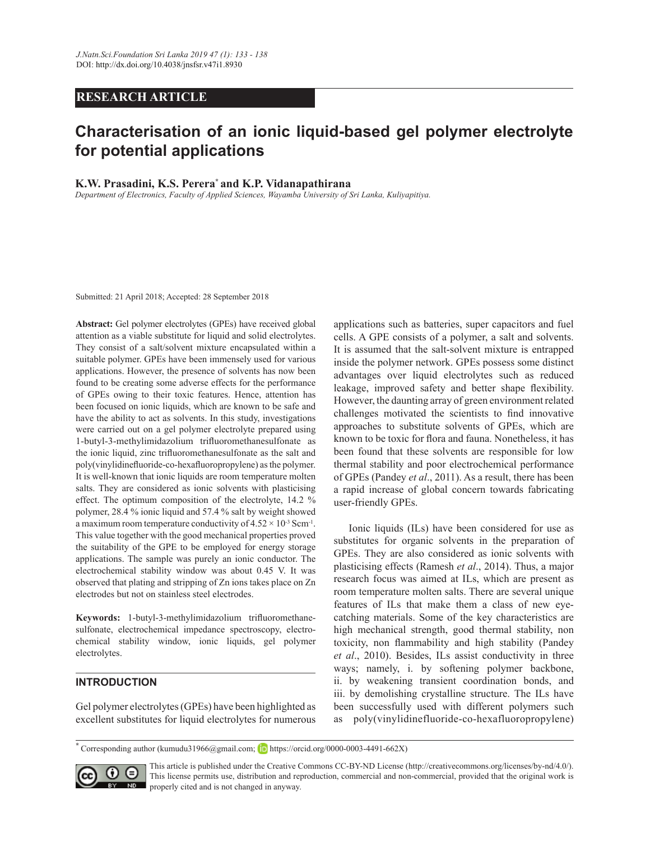# **RESEARCH ARTICLE**

# Characterisation of an ionic liquid-based gel polymer electrolyte **for potential applications**

#### **K.W. Prasadini, K.S. Perera<sup>\*</sup> and K.P. Vidanapathirana**

*Department of Electronics, Faculty of Applied Sciences, Wayamba University of Sri Lanka, Kuliyapitiya.*

Submitted: 21 April 2018; Accepted: 28 September 2018

**Abstract:** Gel polymer electrolytes (GPEs) have received global attention as a viable substitute for liquid and solid electrolytes. They consist of a salt/solvent mixture encapsulated within a suitable polymer. GPEs have been immensely used for various applications. However, the presence of solvents has now been found to be creating some adverse effects for the performance of GPEs owing to their toxic features. Hence, attention has been focused on ionic liquids, which are known to be safe and have the ability to act as solvents. In this study, investigations were carried out on a gel polymer electrolyte prepared using 1-butyl-3-methylimidazolium trifluoromethanesulfonate as the ionic liquid, zinc trifluoromethanesulfonate as the salt and poly(vinylidinefluoride-co-hexafluoropropylene) as the polymer. It is well-known that ionic liquids are room temperature molten salts. They are considered as ionic solvents with plasticising effect. The optimum composition of the electrolyte,  $14.2\%$ polymer, 28.4 % ionic liquid and 57.4 % salt by weight showed a maximum room temperature conductivity of  $4.52 \times 10^{-3}$  Scm<sup>-1</sup>. This value together with the good mechanical properties proved the suitability of the GPE to be employed for energy storage applications. The sample was purely an ionic conductor. The electrochemical stability window was about 0.45 V. It was observed that plating and stripping of Zn ions takes place on Zn electrodes but not on stainless steel electrodes.

Keywords: 1-butyl-3-methylimidazolium trifluoromethanesulfonate, electrochemical impedance spectroscopy, electrochemical stability window, ionic liquids, gel polymer electrolytes.

# **INTRODUCTION**

Gel polymer electrolytes (GPEs) have been highlighted as excellent substitutes for liquid electrolytes for numerous applications such as batteries, super capacitors and fuel cells. A GPE consists of a polymer, a salt and solvents. It is assumed that the salt-solvent mixture is entrapped inside the polymer network. GPEs possess some distinct advantages over liquid electrolytes such as reduced leakage, improved safety and better shape flexibility. However, the daunting array of green environment related challenges motivated the scientists to find innovative approaches to substitute solvents of GPEs, which are known to be toxic for flora and fauna. Nonetheless, it has been found that these solvents are responsible for low thermal stability and poor electrochemical performance of GPEs (Pandey *et al.*, 2011). As a result, there has been a rapid increase of global concern towards fabricating user-friendly GPEs.

 Ionic liquids (ILs) have been considered for use as substitutes for organic solvents in the preparation of GPEs. They are also considered as ionic solvents with plasticising effects (Ramesh *et al.*, 2014). Thus, a major research focus was aimed at ILs, which are present as room temperature molten salts. There are several unique features of ILs that make them a class of new eyecatching materials. Some of the key characteristics are high mechanical strength, good thermal stability, non toxicity, non flammability and high stability (Pandey et al., 2010). Besides, ILs assist conductivity in three ways; namely, i. by softening polymer backbone, ii. by weakening transient coordination bonds, and iii. by demolishing crystalline structure. The ILs have been successfully used with different polymers such as poly(vinylidinefluoride-co-hexafluoropropylene)

Corresponding author (kumudu31966@gmail.com; **D** https://orcid.org/0000-0003-4491-662X)



This article is published under the Creative Commons CC-BY-ND License (http://creativecommons.org/licenses/by-nd/4.0/). This license permits use, distribution and reproduction, commercial and non-commercial, provided that the original work is **ND** properly cited and is not changed in anyway.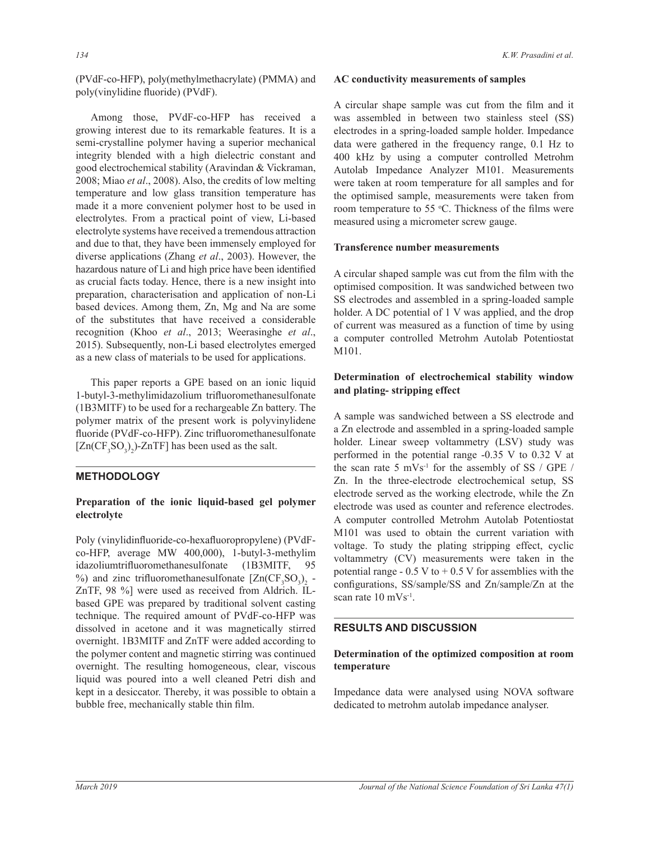Among those, PVdF-co-HFP has received a growing interest due to its remarkable features. It is a semi-crystalline polymer having a superior mechanical integrity blended with a high dielectric constant and good electrochemical stability (Aravindan & Vickraman, 2008; Miao et al., 2008). Also, the credits of low melting temperature and low glass transition temperature has made it a more convenient polymer host to be used in electrolytes. From a practical point of view, Li-based electrolyte systems have received a tremendous attraction and due to that, they have been immensely employed for diverse applications (Zhang et al., 2003). However, the hazardous nature of Li and high price have been identified as crucial facts today. Hence, there is a new insight into preparation, characterisation and application of non-Li based devices. Among them, Zn, Mg and Na are some of the substitutes that have received a considerable recognition (Khoo et al., 2013; Weerasinghe et al., 2015). Subsequently, non-Li based electrolytes emerged as a new class of materials to be used for applications.

 This paper reports a GPE based on an ionic liquid 1-butyl-3-methylimidazolium trifluoromethanesulfonate  $(1B3MITF)$  to be used for a rechargeable Zn battery. The polymer matrix of the present work is polyvinylidene fluoride (PVdF-co-HFP). Zinc trifluoromethanesulfonate  $[Zn(CF<sub>3</sub>SO<sub>3</sub>)<sub>2</sub>)$ -ZnTF] has been used as the salt.

# **METHODOLOGY**

## Preparation of the ionic liquid-based gel polymer **electrolyte**

Poly (vinylidinfluoride-co-hexafluoropropylene) (PVdF $co$ -HFP, average MW 400,000), 1-butyl-3-methylim idazoliumtrifluoromethanesulfonate (1B3MITF, 95) %) and zinc trifluoromethanesulfonate  $[Zn(CF_3SO_3)_2 ZnTF$ , 98 %] were used as received from Aldrich. ILbased GPE was prepared by traditional solvent casting technique. The required amount of PVdF-co-HFP was dissolved in acetone and it was magnetically stirred overnight. 1B3MITF and ZnTF were added according to the polymer content and magnetic stirring was continued overnight. The resulting homogeneous, clear, viscous liquid was poured into a well cleaned Petri dish and kept in a desiccator. Thereby, it was possible to obtain a bubble free, mechanically stable thin film.

### **AC** conductivity measurements of samples

A circular shape sample was cut from the film and it was assembled in between two stainless steel (SS) electrodes in a spring-loaded sample holder. Impedance data were gathered in the frequency range,  $0.1$  Hz to 400 kHz by using a computer controlled Metrohm Autolab Impedance Analyzer M101. Measurements were taken at room temperature for all samples and for the optimised sample, measurements were taken from room temperature to 55 °C. Thickness of the films were measured using a micrometer screw gauge.

## **Transference number measurements**

A circular shaped sample was cut from the film with the optimised composition. It was sandwiched between two SS electrodes and assembled in a spring-loaded sample holder. A DC potential of 1 V was applied, and the drop of current was measured as a function of time by using a computer controlled Metrohm Autolab Potentiostat M101.

# Determination of electrochemical stability window and plating-stripping effect

A sample was sandwiched between a SS electrode and a Zn electrode and assembled in a spring-loaded sample holder. Linear sweep voltammetry (LSV) study was performed in the potential range -0.35 V to 0.32 V at the scan rate 5  $mVs^{-1}$  for the assembly of SS / GPE / Zn. In the three-electrode electrochemical setup, SS electrode served as the working electrode, while the Zn electrode was used as counter and reference electrodes. A computer controlled Metrohm Autolab Potentiostat M101 was used to obtain the current variation with voltage. To study the plating stripping effect, cyclic voltammetry (CV) measurements were taken in the potential range -  $0.5$  V to +  $0.5$  V for assemblies with the configurations, SS/sample/SS and Zn/sample/Zn at the scan rate 10 mVs<sup>-1</sup>.

## **RESULTS AND DISCUSSION**

# Determination of the optimized composition at room temperature

Impedance data were analysed using NOVA software dedicated to metrohm autolab impedance analyser.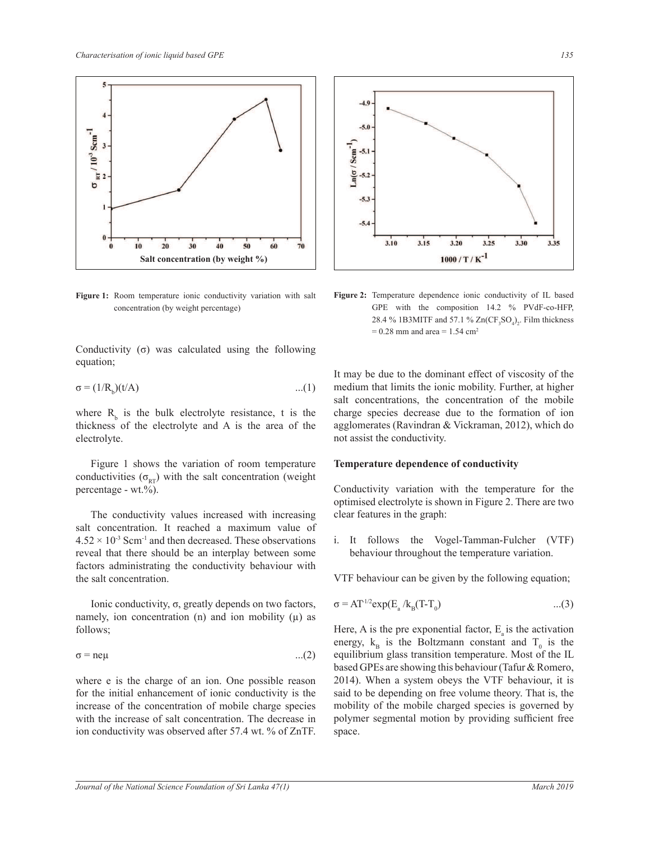

Figure 1: Room temperature ionic conductivity variation with salt concentration (by weight percentage)

Conductivity  $(\sigma)$  was calculated using the following equation;

$$
\sigma = (1/R_{\rm b})(t/A) \tag{1}
$$

where  $R<sub>b</sub>$  is the bulk electrolyte resistance, t is the thickness of the electrolyte and A is the area of the electrolyte.

 Figure 1 shows the variation of room temperature conductivities  $(\sigma_{RT})$  with the salt concentration (weight percentage - wt.%).

 The conductivity values increased with increasing salt concentration. It reached a maximum value of  $4.52 \times 10^{-3}$  Scm<sup>-1</sup> and then decreased. These observations reveal that there should be an interplay between some factors administrating the conductivity behaviour with the salt concentration.

Ionic conductivity,  $\sigma$ , greatly depends on two factors, namely, ion concentration (n) and ion mobility  $(\mu)$  as follows;

$$
\sigma = \text{ne}\mu \tag{2}
$$

where e is the charge of an ion. One possible reason for the initial enhancement of ionic conductivity is the increase of the concentration of mobile charge species with the increase of salt concentration. The decrease in ion conductivity was observed after  $57.4$  wt. % of ZnTF.



Figure 2: Temperature dependence ionic conductivity of IL based GPE with the composition  $14.2 \%$  PVdF-co-HFP, 28.4 % 1B3MITF and 57.1 %  $Zn(CF_3SO_4)_2$ . Film thickness  $= 0.28$  mm and area  $= 1.54$  cm<sup>2</sup>

It may be due to the dominant effect of viscosity of the medium that limits the ionic mobility. Further, at higher salt concentrations, the concentration of the mobile charge species decrease due to the formation of ion agglomerates (Ravindran & Vickraman, 2012), which do not assist the conductivity.

#### **Temperature dependence of conductivity**

Conductivity variation with the temperature for the optimised electrolyte is shown in Figure 2. There are two clear features in the graph:

i. It follows the Vogel-Tamman-Fulcher (VTF) behaviour throughout the temperature variation.

VTF behaviour can be given by the following equation;

$$
\sigma = AT^{1/2} \exp(\mathbf{E}_a / \mathbf{k}_B (T - T_0) \tag{3}
$$

Here, A is the pre exponential factor,  $E_a$  is the activation energy,  $k_B$  is the Boltzmann constant and  $T_0$  is the equilibrium glass transition temperature. Most of the IL based GPEs are showing this behaviour (Tafur & Romero, 2014). When a system obeys the VTF behaviour, it is said to be depending on free volume theory. That is, the mobility of the mobile charged species is governed by polymer segmental motion by providing sufficient free space.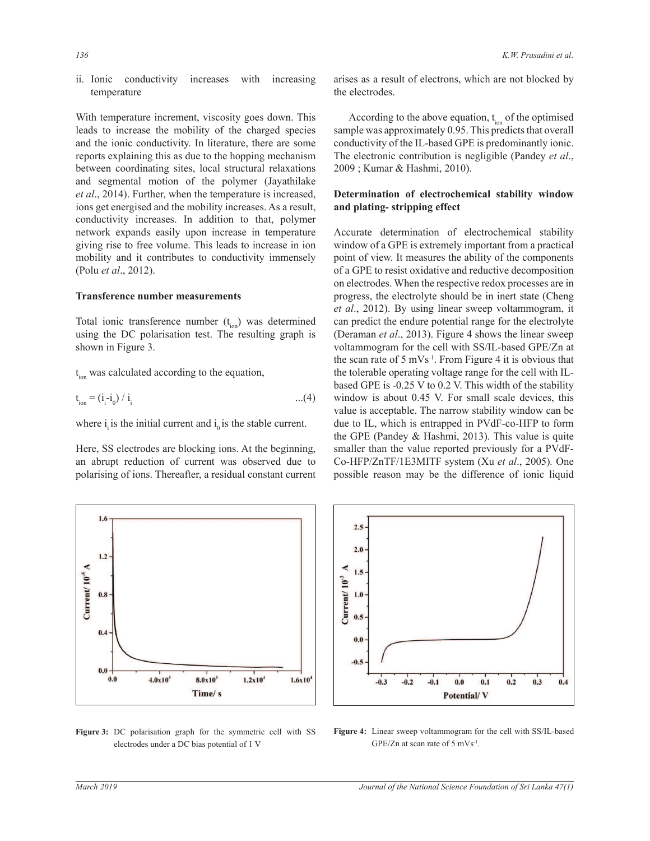ii. Ionic conductivity increases with increasing temperature

With temperature increment, viscosity goes down. This leads to increase the mobility of the charged species and the ionic conductivity. In literature, there are some reports explaining this as due to the hopping mechanism between coordinating sites, local structural relaxations and segmental motion of the polymer (Jayathilake *et al.*, 2014). Further, when the temperature is increased, ions get energised and the mobility increases. As a result, conductivity increases. In addition to that, polymer network expands easily upon increase in temperature giving rise to free volume. This leads to increase in ion mobility and it contributes to conductivity immensely (Polu *et al* 

#### **Transference number measurements**

Total ionic transference number  $(t_{\text{ion}})$  was determined using the DC polarisation test. The resulting graph is shown in Figure 3.

t<sub>ion</sub> was calculated according to the equation,

$$
t_{ion} = (i_i - i_0) / i_i
$$
 (4)

where i is the initial current and  $i_0$  is the stable current.

Here, SS electrodes are blocking ions. At the beginning, an abrupt reduction of current was observed due to polarising of ions. Thereafter, a residual constant current



Figure 3: DC polarisation graph for the symmetric cell with SS electrodes under a DC bias potential of 1 V

arises as a result of electrons, which are not blocked by the electrodes.

According to the above equation,  $t_{ion}$  of the optimised sample was approximately 0.95. This predicts that overall conductivity of the IL-based GPE is predominantly ionic. The electronic contribution is negligible (Pandey *et al* 2009; Kumar & Hashmi, 2010).

### Determination of electrochemical stability window and plating-stripping effect

Accurate determination of electrochemical stability window of a GPE is extremely important from a practical point of view. It measures the ability of the components of a GPE to resist oxidative and reductive decomposition on electrodes. When the respective redox processes are in progress, the electrolyte should be in inert state (Cheng et al., 2012). By using linear sweep voltammogram, it can predict the endure potential range for the electrolyte (Deraman *et al.*, 2013). Figure 4 shows the linear sweep voltammogram for the cell with SS/IL-based GPE/Zn at the scan rate of  $5 \text{ mVs}^{-1}$ . From Figure 4 it is obvious that the tolerable operating voltage range for the cell with ILbased GPE is -0.25 V to 0.2 V. This width of the stability window is about 0.45 V. For small scale devices, this value is acceptable. The narrow stability window can be due to IL, which is entrapped in PVdF-co-HFP to form the GPE (Pandey  $\&$  Hashmi, 2013). This value is quite inning, smaller than the value reported previously for a PVdF-Co-HFP/ZnTF/1E3MITF system (Xu et al., 2005). One possible reason may be the difference of ionic liquid



Figure 4: Linear sweep voltammogram for the cell with SS/IL-based GPE/Zn at scan rate of 5 mVs<sup>-1</sup>.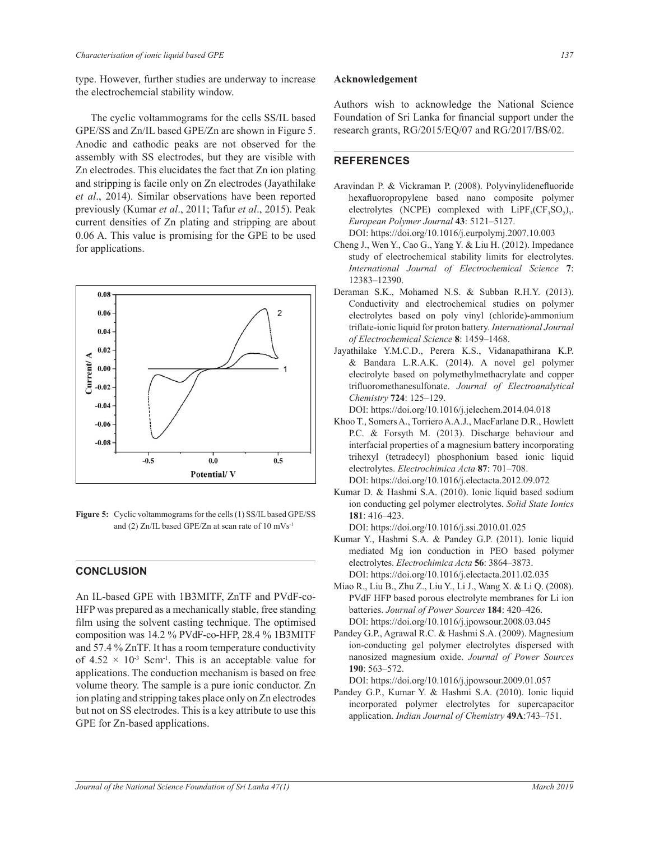type. However, further studies are underway to increase the electrochemcial stability window.

 The cyclic voltammograms for the cells SS/IL based GPE/SS and Zn/IL based GPE/Zn are shown in Figure 5. Anodic and cathodic peaks are not observed for the assembly with SS electrodes, but they are visible with Zn electrodes. This elucidates the fact that Zn ion plating and stripping is facile only on Zn electrodes (Jayathilake *et al.*, 2014). Similar observations have been reported previously (Kumar et al., 2011; Tafur et al., 2015). Peak current densities of Zn plating and stripping are about 0.06 A. This value is promising for the GPE to be used for applications.



Figure 5: Cyclic voltammograms for the cells (1) SS/IL based GPE/SS and (2)  $Zn/IL$  based GPE/Zn at scan rate of 10 mVs<sup>-1</sup>

### **CONCLUSION**

An IL-based GPE with 1B3MITF, ZnTF and PVdF-co-HFP was prepared as a mechanically stable, free standing film using the solvent casting technique. The optimised composition was 14.2 % PVdF-co-HFP, 28.4 % 1B3MITF and  $57.4\%$  ZnTF. It has a room temperature conductivity of  $4.52 \times 10^{-3}$  Scm<sup>-1</sup>. This is an acceptable value for applications. The conduction mechanism is based on free volume theory. The sample is a pure ionic conductor. Zn ion plating and stripping takes place only on Zn electrodes but not on SS electrodes. This is a key attribute to use this GPE for Zn-based applications.

#### Acknowledgement

Authors wish to acknowledge the National Science Foundation of Sri Lanka for financial support under the research grants, RG/2015/EQ/07 and RG/2017/BS/02.

# **REFERENCES**

- Aravindan P. & Vickraman P. (2008). Polyvinylidenefluoride hexafluoropropylene based nano composite polymer electrolytes (NCPE) complexed with  $LipF_3(CF_3SO_2)_3$ . *European Polymer Journal* **43**± DOI: https://doi.org/10.1016/j.eurpolymj.2007.10.003
- Cheng J., Wen Y., Cao G., Yang Y. & Liu H. (2012). Impedance study of electrochemical stability limits for electrolytes. *International Journal of Electrochemical Science* **7**: 12383–12390.
- Deraman S.K., Mohamed N.S. & Subban R.H.Y. (2013). Conductivity and electrochemical studies on polymer electrolytes based on poly vinyl (chloride)-ammonium triflate-ionic liquid for proton battery. International Journal *of Electrochemical Science* **8**±
- Jayathilake Y.M.C.D., Perera K.S., Vidanapathirana K.P. & Bandara L.R.A.K. (2014). A novel gel polymer electrolyte based on polymethylmethacrylate and copper trifluoromethanesulfonate. Journal of Electroanalytical *Chemistry* **724**±

DOI: https://doi.org/10.1016/j.jelechem.2014.04.018

- Khoo T., Somers A., Torriero A.A.J., MacFarlane D.R., Howlett P.C. & Forsyth M. (2013). Discharge behaviour and interfacial properties of a magnesium battery incorporating trihexyl (tetradecyl) phosphonium based ionic liquid electrolytes. *Electrochimica Acta* **87**: 701–708. DOI: https://doi.org/10.1016/j.electacta.2012.09.072
- Kumar D. & Hashmi S.A. (2010). Ionic liquid based sodium ion conducting gel polymer electrolytes. *Solid State Ionics* **181**: 416–423.

DOI: https://doi.org/10.1016/j.ssi.2010.01.025

- mediated Mg ion conduction in PEO based polymer Kumar Y., Hashmi S.A. & Pandey G.P. (2011). Ionic liquid electrolytes. *Electrochimica Acta* **56**: 3864–3873. DOI: https://doi.org/10.1016/j.electacta.2011.02.035
- Miao R., Liu B., Zhu Z., Liu Y., Li J., Wang X. & Li O. (2008). PVdF HFP based porous electrolyte membranes for Li ion batteries. *Journal of Power Sources* **184**: 420–426. DOI: https://doi.org/10.1016/j.jpowsour.2008.03.045
- Pandey G.P., Agrawal R.C. & Hashmi S.A. (2009). Magnesium ion-conducting gel polymer electrolytes dispersed with nanosized magnesium oxide. *Journal of Power Sources* **190**: 563-572.

DOI: https://doi.org/10.1016/j.jpowsour.2009.01.057

Pandey G.P., Kumar Y. & Hashmi S.A. (2010). Ionic liquid incorporated polymer electrolytes for supercapacitor application. *Indian Journal of Chemistry* 49A:743-751.